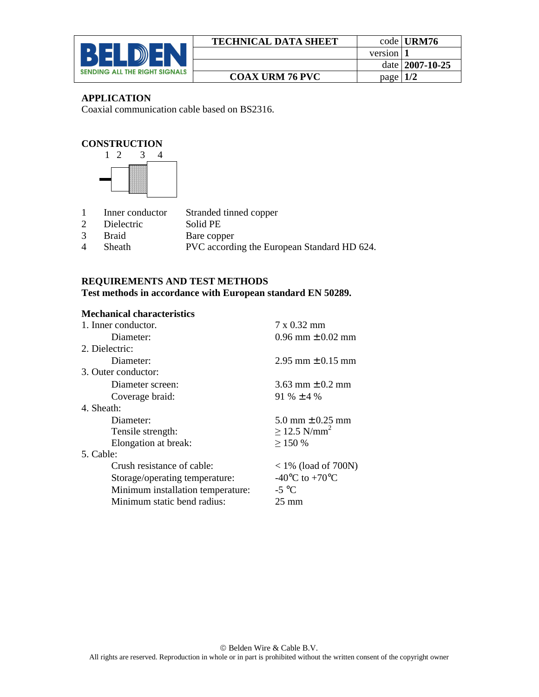

| <b>TECHNICAL DATA SHEET</b> |            | code URM76         |
|-----------------------------|------------|--------------------|
|                             | version 1  |                    |
|                             |            | date $ 2007-10-25$ |
| <b>COAX URM 76 PVC</b>      | page $1/2$ |                    |

## **APPLICATION**

Coaxial communication cable based on BS2316.

## **CONSTRUCTION**



- 1 Inner conductor Stranded tinned copper
- 2 Dielectric Solid PE
- 3 Braid Bare copper<br>4 Sheath PVC accordi
- Sheath PVC according the European Standard HD 624.

# **REQUIREMENTS AND TEST METHODS**

**Test methods in accordance with European standard EN 50289.** 

#### **Mechanical characteristics**

| $7 \times 0.32$ mm                   |
|--------------------------------------|
| $0.96$ mm $\pm 0.02$ mm              |
|                                      |
| $2.95$ mm $\pm$ 0.15 mm              |
|                                      |
| 3.63 mm $\pm$ 0.2 mm                 |
| 91 % $\pm$ 4 %                       |
|                                      |
| 5.0 mm $\pm$ 0.25 mm                 |
| $\geq$ 12.5 N/mm <sup>2</sup>        |
| >150%                                |
|                                      |
| $<$ 1% (load of 700N)                |
| -40 $^{\circ}$ C to +70 $^{\circ}$ C |
| $-5$ °C                              |
| $25 \text{ mm}$                      |
|                                      |